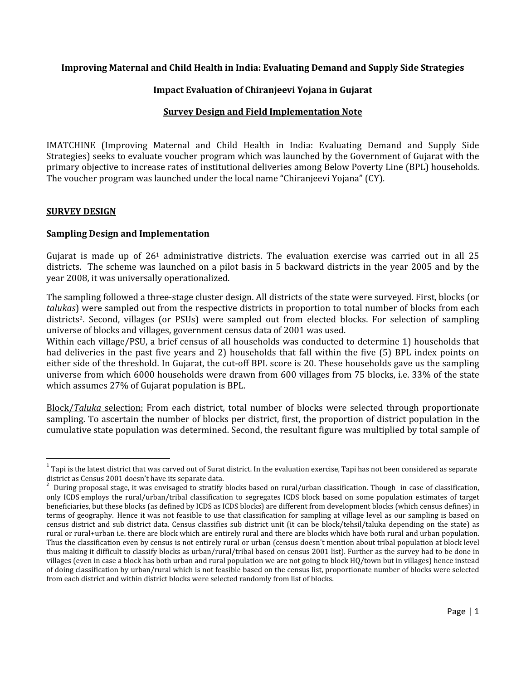### Improving Maternal and Child Health in India: Evaluating Demand and Supply Side Strategies

# Impact Evaluation of Chiranjeevi Yojana in Gujarat

### Survey Design and Field Implementation Note

IMATCHINE (Improving Maternal and Child Health in India: Evaluating Demand and Supply Side Strategies) seeks to evaluate voucher program which was launched by the Government of Gujarat with the primary objective to increase rates of institutional deliveries among Below Poverty Line (BPL) households. The voucher program was launched under the local name "Chiranjeevi Yojana" (CY).

#### **SURVEY DESIGN**

-

#### Sampling Design and Implementation

Gujarat is made up of 26<sup>1</sup> administrative districts. The evaluation exercise was carried out in all 25 districts. The scheme was launched on a pilot basis in 5 backward districts in the year 2005 and by the year 2008, it was universally operationalized.

The sampling followed a three-stage cluster design. All districts of the state were surveyed. First, blocks (or talukas) were sampled out from the respective districts in proportion to total number of blocks from each districts<sup>2</sup>. Second, villages (or PSUs) were sampled out from elected blocks. For selection of sampling universe of blocks and villages, government census data of 2001 was used.

Within each village/PSU, a brief census of all households was conducted to determine 1) households that had deliveries in the past five years and 2) households that fall within the five (5) BPL index points on either side of the threshold. In Gujarat, the cut-off BPL score is 20. These households gave us the sampling universe from which 6000 households were drawn from 600 villages from 75 blocks, i.e. 33% of the state which assumes 27% of Gujarat population is BPL.

Block/Taluka selection: From each district, total number of blocks were selected through proportionate sampling. To ascertain the number of blocks per district, first, the proportion of district population in the cumulative state population was determined. Second, the resultant figure was multiplied by total sample of

 $^{\rm 1}$  Tapi is the latest district that was carved out of Surat district. In the evaluation exercise, Tapi has not been considered as separate district as Census 2001 doesn't have its separate data. 2

During proposal stage, it was envisaged to stratify blocks based on rural/urban classification. Though in case of classification, only ICDS employs the rural/urban/tribal classification to segregates ICDS block based on some population estimates of target beneficiaries, but these blocks (as defined by ICDS as ICDS blocks) are different from development blocks (which census defines) in terms of geography. Hence it was not feasible to use that classification for sampling at village level as our sampling is based on census district and sub district data. Census classifies sub district unit (it can be block/tehsil/taluka depending on the state) as rural or rural+urban i.e. there are block which are entirely rural and there are blocks which have both rural and urban population. Thus the classification even by census is not entirely rural or urban (census doesn't mention about tribal population at block level thus making it difficult to classify blocks as urban/rural/tribal based on census 2001 list). Further as the survey had to be done in villages (even in case a block has both urban and rural population we are not going to block HQ/town but in villages) hence instead of doing classification by urban/rural which is not feasible based on the census list, proportionate number of blocks were selected from each district and within district blocks were selected randomly from list of blocks.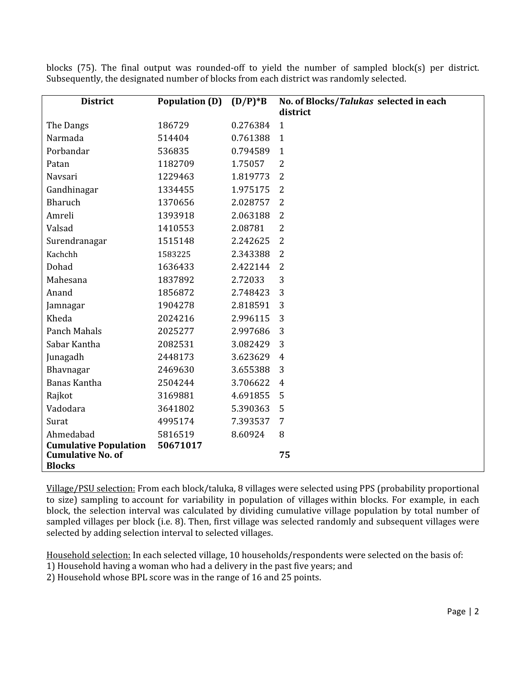| <b>District</b>                                                           | <b>Population (D)</b> | $(D/P)*B$ | No. of Blocks/Talukas selected in each<br>district |
|---------------------------------------------------------------------------|-----------------------|-----------|----------------------------------------------------|
| The Dangs                                                                 | 186729                | 0.276384  | $\mathbf{1}$                                       |
| Narmada                                                                   | 514404                | 0.761388  | $\mathbf{1}$                                       |
| Porbandar                                                                 | 536835                | 0.794589  | $\mathbf{1}$                                       |
| Patan                                                                     | 1182709               | 1.75057   | 2                                                  |
| Navsari                                                                   | 1229463               | 1.819773  | $\overline{2}$                                     |
| Gandhinagar                                                               | 1334455               | 1.975175  | $\overline{2}$                                     |
| <b>Bharuch</b>                                                            | 1370656               | 2.028757  | $\overline{2}$                                     |
| Amreli                                                                    | 1393918               | 2.063188  | 2                                                  |
| Valsad                                                                    | 1410553               | 2.08781   | $\overline{2}$                                     |
| Surendranagar                                                             | 1515148               | 2.242625  | $\overline{2}$                                     |
| Kachchh                                                                   | 1583225               | 2.343388  | $\overline{2}$                                     |
| Dohad                                                                     | 1636433               | 2.422144  | $\overline{2}$                                     |
| Mahesana                                                                  | 1837892               | 2.72033   | 3                                                  |
| Anand                                                                     | 1856872               | 2.748423  | 3                                                  |
| Jamnagar                                                                  | 1904278               | 2.818591  | 3                                                  |
| Kheda                                                                     | 2024216               | 2.996115  | 3                                                  |
| Panch Mahals                                                              | 2025277               | 2.997686  | 3                                                  |
| Sabar Kantha                                                              | 2082531               | 3.082429  | 3                                                  |
| Junagadh                                                                  | 2448173               | 3.623629  | 4                                                  |
| Bhavnagar                                                                 | 2469630               | 3.655388  | 3                                                  |
| <b>Banas Kantha</b>                                                       | 2504244               | 3.706622  | $\overline{4}$                                     |
| Rajkot                                                                    | 3169881               | 4.691855  | 5                                                  |
| Vadodara                                                                  | 3641802               | 5.390363  | 5                                                  |
| Surat                                                                     | 4995174               | 7.393537  | 7                                                  |
| Ahmedabad                                                                 | 5816519               | 8.60924   | 8                                                  |
| <b>Cumulative Population</b><br><b>Cumulative No. of</b><br><b>Blocks</b> | 50671017              |           | 75                                                 |

blocks (75). The final output was rounded-off to yield the number of sampled block(s) per district. Subsequently, the designated number of blocks from each district was randomly selected.

Village/PSU selection: From each block/taluka, 8 villages were selected using PPS (probability proportional to size) sampling to account for variability in population of villages within blocks. For example, in each block, the selection interval was calculated by dividing cumulative village population by total number of sampled villages per block (i.e. 8). Then, first village was selected randomly and subsequent villages were selected by adding selection interval to selected villages.

Household selection: In each selected village, 10 households/respondents were selected on the basis of:

- 1) Household having a woman who had a delivery in the past five years; and
- 2) Household whose BPL score was in the range of 16 and 25 points.